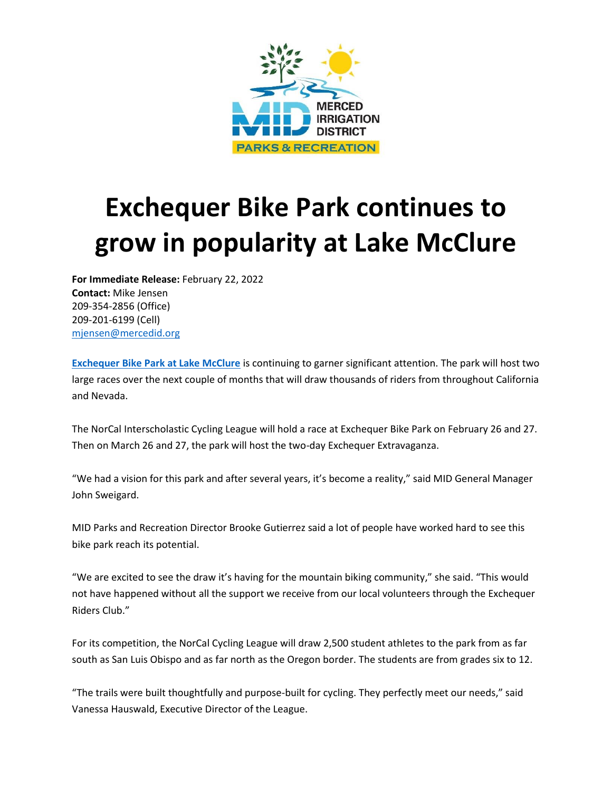

## **Exchequer Bike Park continues to grow in popularity at Lake McClure**

**For Immediate Release:** February 22, 2022 **Contact:** Mike Jensen 209-354-2856 (Office) 209-201-6199 (Cell) [mjensen@mercedid.org](mailto:mjensen@mercedid.org)

**[Exchequer](https://www.lakemcclure.com/biking-bike-park/) Bike Park at Lake McClure** is continuing to garner significant attention. The park will host two large races over the next couple of months that will draw thousands of riders from throughout California and Nevada.

The NorCal Interscholastic Cycling League will hold a race at Exchequer Bike Park on February 26 and 27. Then on March 26 and 27, the park will host the two-day Exchequer Extravaganza.

"We had a vision for this park and after several years, it's become a reality," said MID General Manager John Sweigard.

MID Parks and Recreation Director Brooke Gutierrez said a lot of people have worked hard to see this bike park reach its potential.

"We are excited to see the draw it's having for the mountain biking community," she said. "This would not have happened without all the support we receive from our local volunteers through the Exchequer Riders Club."

For its competition, the NorCal Cycling League will draw 2,500 student athletes to the park from as far south as San Luis Obispo and as far north as the Oregon border. The students are from grades six to 12.

"The trails were built thoughtfully and purpose-built for cycling. They perfectly meet our needs," said Vanessa Hauswald, Executive Director of the League.